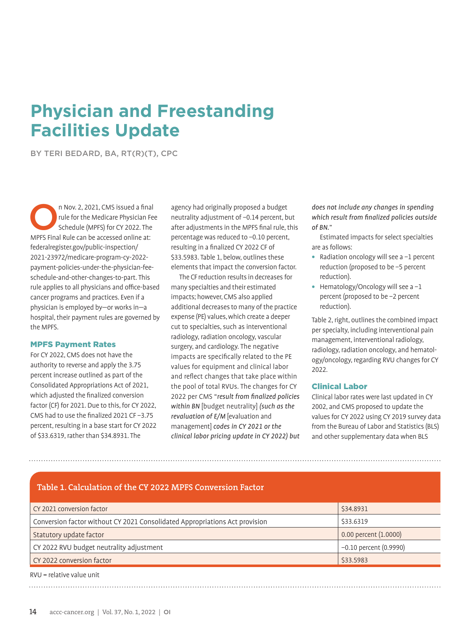# **Physician and Freestanding Facilities Update**

BY TERI BEDARD, BA, RT(R)(T), CPC

n Nov. 2, 2021, CMS issued a final<br>rule for the Medicare Physician Feu<br>Schedule (MPFS) for CY 2022. The rule for the Medicare Physician Fee Schedule (MPFS) for CY 2022. The MPFS Final Rule can be accessed online at: federalregister.gov/public-inspection/ 2021-23972/medicare-program-cy-2022 payment-policies-under-the-physician-feeschedule-and-other-changes-to-part. This rule applies to all physicians and office-based cancer programs and practices. Even if a physician is employed by—or works in—a hospital, their payment rules are governed by the MPFS.

#### MPFS Payment Rates

For CY 2022, CMS does not have the authority to reverse and apply the 3.75 percent increase outlined as part of the Consolidated Appropriations Act of 2021, which adjusted the finalized conversion factor (CF) for 2021. Due to this, for CY 2022, CMS had to use the finalized 2021 CF −3.75 percent, resulting in a base start for CY 2022 of \$33.6319, rather than \$34.8931. The

agency had originally proposed a budget neutrality adjustment of −0.14 percent, but after adjustments in the MPFS final rule, this percentage was reduced to −0.10 percent, resulting in a finalized CY 2022 CF of \$33.5983. Table 1, below, outlines these elements that impact the conversion factor.

The CF reduction results in decreases for many specialties and their estimated impacts; however, CMS also applied additional decreases to many of the practice expense (PE) values, which create a deeper cut to specialties, such as interventional radiology, radiation oncology, vascular surgery, and cardiology. The negative impacts are specifically related to the PE values for equipment and clinical labor and reflect changes that take place within the pool of total RVUs. The changes for CY 2022 per CMS "*result from finalized policies within BN* [budget neutrality] *(such as the revaluation of E/M* [evaluation and management] *codes in CY 2021 or the clinical labor pricing update in CY 2022) but*  *does not include any changes in spending which result from finalized policies outside of BN.*"

Estimated impacts for select specialties are as follows:

- **•** Radiation oncology will see a −1 percent reduction (proposed to be −5 percent reduction).
- **•** Hematology/Oncology will see a −1 percent (proposed to be −2 percent reduction).

Table 2, right, outlines the combined impact per specialty, including interventional pain management, interventional radiology, radiology, radiation oncology, and hematology/oncology, regarding RVU changes for CY 2022.

#### Clinical Labor

Clinical labor rates were last updated in CY 2002, and CMS proposed to update the values for CY 2022 using CY 2019 survey data from the Bureau of Labor and Statistics (BLS) and other supplementary data when BLS

#### **Table 1. Calculation of the CY 2022 MPFS Conversion Factor**

| CY 2021 conversion factor                                                   | \$34.8931                |
|-----------------------------------------------------------------------------|--------------------------|
| Conversion factor without CY 2021 Consolidated Appropriations Act provision | \$33.6319                |
| Statutory update factor                                                     | 0.00 percent (1.0000)    |
| CY 2022 RVU budget neutrality adjustment                                    | $-0.10$ percent (0.9990) |
| CY 2022 conversion factor                                                   | \$33.5983                |
|                                                                             |                          |

RVU = relative value unit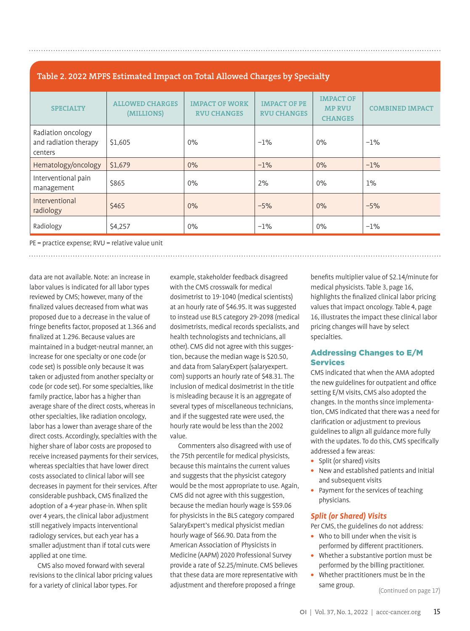# **Table 2. 2022 MPFS Estimated Impact on Total Allowed Charges by Specialty**

| <b>SPECIALTY</b>                                       | <b>ALLOWED CHARGES</b><br>(MILLIONS) | <b>IMPACT OF WORK</b><br><b>RVU CHANGES</b> | <b>IMPACT OF PE</b><br><b>RVU CHANGES</b> | <b>IMPACT OF</b><br><b>MP RVU</b><br><b>CHANGES</b> | <b>COMBINED IMPACT</b> |
|--------------------------------------------------------|--------------------------------------|---------------------------------------------|-------------------------------------------|-----------------------------------------------------|------------------------|
| Radiation oncology<br>and radiation therapy<br>centers | \$1,605                              | $0\%$                                       | $-1\%$                                    | $0\%$                                               | $-1%$                  |
| Hematology/oncology                                    | \$1,679                              | 0%                                          | $-1\%$                                    | $0\%$                                               | $-1\%$                 |
| Interventional pain<br>management                      | <b>\$865</b>                         | $0\%$                                       | 2%                                        | 0%                                                  | $1\%$                  |
| Interventional<br>radiology                            | <b>\$465</b>                         | 0%                                          | $-5%$                                     | 0%                                                  | $-5%$                  |
| Radiology                                              | \$4,257                              | $0\%$                                       | $-1\%$                                    | $0\%$                                               | $-1%$                  |

PE = practice expense; RVU = relative value unit

data are not available. Note: an increase in labor values is indicated for all labor types reviewed by CMS; however, many of the finalized values decreased from what was proposed due to a decrease in the value of fringe benefits factor, proposed at 1.366 and finalized at 1.296. Because values are maintained in a budget-neutral manner, an increase for one specialty or one code (or code set) is possible only because it was taken or adjusted from another specialty or code (or code set). For some specialties, like family practice, labor has a higher than average share of the direct costs, whereas in other specialties, like radiation oncology, labor has a lower than average share of the direct costs. Accordingly, specialties with the higher share of labor costs are proposed to receive increased payments for their services, whereas specialties that have lower direct costs associated to clinical labor will see decreases in payment for their services. After considerable pushback, CMS finalized the adoption of a 4-year phase-in. When split over 4 years, the clinical labor adjustment still negatively impacts interventional radiology services, but each year has a smaller adjustment than if total cuts were applied at one time.

CMS also moved forward with several revisions to the clinical labor pricing values for a variety of clinical labor types. For

example, stakeholder feedback disagreed with the CMS crosswalk for medical dosimetrist to 19-1040 (medical scientists) at an hourly rate of \$46.95. It was suggested to instead use BLS category 29-2098 (medical dosimetrists, medical records specialists, and health technologists and technicians, all other). CMS did not agree with this suggestion, because the median wage is \$20.50, and data from SalaryExpert (salaryexpert. com) supports an hourly rate of \$48.31. The inclusion of medical dosimetrist in the title is misleading because it is an aggregate of several types of miscellaneous technicians, and if the suggested rate were used, the hourly rate would be less than the 2002 value.

Commenters also disagreed with use of the 75th percentile for medical physicists, because this maintains the current values and suggests that the physicist category would be the most appropriate to use. Again, CMS did not agree with this suggestion, because the median hourly wage is \$59.06 for physicists in the BLS category compared SalaryExpert's medical physicist median hourly wage of \$66.90. Data from the American Association of Physicists in Medicine (AAPM) 2020 Professional Survey provide a rate of \$2.25/minute. CMS believes that these data are more representative with adjustment and therefore proposed a fringe

benefits multiplier value of \$2.14/minute for medical physicists. Table 3, page 16, highlights the finalized clinical labor pricing values that impact oncology. Table 4, page 16, illustrates the impact these clinical labor pricing changes will have by select specialties.

## Addressing Changes to E/M Services

CMS indicated that when the AMA adopted the new guidelines for outpatient and office setting E/M visits, CMS also adopted the changes. In the months since implementation, CMS indicated that there was a need for clarification or adjustment to previous guidelines to align all guidance more fully with the updates. To do this, CMS specifically addressed a few areas:

- **•** Split (or shared) visits
- **•** New and established patients and initial and subsequent visits
- **•** Payment for the services of teaching physicians.

## *Split (or Shared) Visits*

Per CMS, the guidelines do not address:

- **•** Who to bill under when the visit is performed by different practitioners.
- **•** Whether a substantive portion must be performed by the billing practitioner.
- **•** Whether practitioners must be in the same group.

(Continued on page 17)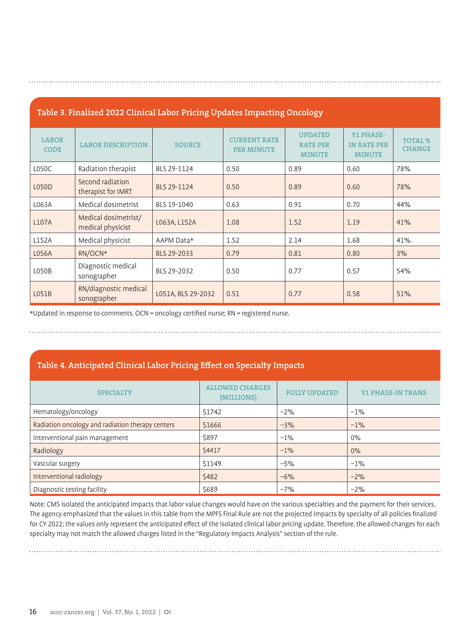| Table 3. Finalized 2022 Clinical Labor Pricing Updates Impacting Oncology |  |
|---------------------------------------------------------------------------|--|
|                                                                           |  |

| <b>LABOR</b><br><b>CODE</b> | <b>LABOR DESCRIPTION</b>                  | <b>SOURCE</b>      | <b>CURRENT RATE</b><br><b>PER MINUTE</b> | <b>UPDATED</b><br><b>RATE PER</b><br><b>MINUTE</b> | <b>Y1 PHASE-</b><br><b>IN RATE PER</b><br><b>MINUTE</b> | <b>TOTAL %</b><br><b>CHANGE</b> |
|-----------------------------|-------------------------------------------|--------------------|------------------------------------------|----------------------------------------------------|---------------------------------------------------------|---------------------------------|
| L050C                       | Radiation therapist                       | BLS 29-1124        | 0.50                                     | 0.89                                               | 0.60                                                    | 78%                             |
| L050D                       | Second radiation<br>therapist for IMRT    | BLS 29-1124        | 0.50                                     | 0.89                                               | 0.60                                                    | 78%                             |
| L063A                       | Medical dosimetrist                       | BLS 19-1040        | 0.63                                     | 0.91                                               | 0.70                                                    | 44%                             |
| L107A                       | Medical dosimetrist/<br>medical physicist | L063A, L152A       | 1.08                                     | 1.52                                               | 1.19                                                    | 41%                             |
| L152A                       | Medical physicist                         | AAPM Data*         | 1.52                                     | 2.14                                               | 1.68                                                    | 41%                             |
| L056A                       | RN/OCN*                                   | BLS 29-2033        | 0.79                                     | 0.81                                               | 0.80                                                    | 3%                              |
| L050B                       | Diagnostic medical<br>sonographer         | BLS 29-2032        | 0.50                                     | 0.77                                               | 0.57                                                    | 54%                             |
| LO51B                       | RN/diagnostic medical<br>sonographer      | L051A, BLS 29-2032 | 0.51                                     | 0.77                                               | 0.58                                                    | 51%                             |

\*Updated in response to comments. OCN = oncology certified nurse; RN = registered nurse.

# **Table 4. Anticipated Clinical Labor Pricing Effect on Specialty Impacts**

| <b>SPECIALTY</b>                                 | <b>ALLOWED CHARGES</b><br>(MILLIONS) | <b>FULLY UPDATED</b> | <b>Y1 PHASE-IN TRANS</b> |
|--------------------------------------------------|--------------------------------------|----------------------|--------------------------|
| Hematology/oncology                              | \$1742                               | $-2%$                | $-1%$                    |
| Radiation oncology and radiation therapy centers | \$1666                               | $-3%$                | $-1%$                    |
| Interventional pain management                   | \$897                                | $-1%$                | $0\%$                    |
| Radiology                                        | \$4417                               | $-1%$                | 0%                       |
| Vascular surgery                                 | \$1149                               | $-5%$                | $-1%$                    |
| Interventional radiology                         | \$482                                | $-6%$                | $-2%$                    |
| Diagnostic testing facility                      | \$689                                | $-7%$                | $-2%$                    |

Note: CMS isolated the anticipated impacts that labor value changes would have on the various specialties and the payment for their services. The agency emphasized that the values in this table from the MPFS Final Rule are not the projected impacts by specialty of all policies finalized for CY 2022; the values only represent the anticipated effect of the isolated clinical labor pricing update. Therefore, the allowed changes for each specialty may not match the allowed charges listed in the "Regulatory Impacts Analysis" section of the rule.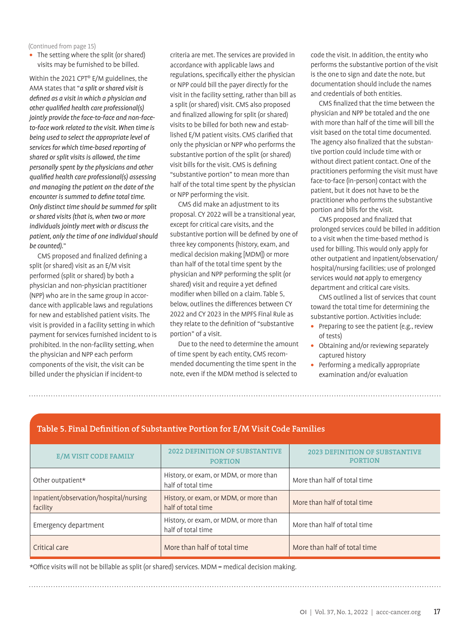(Continued from page 15)

**•** The setting where the split (or shared) visits may be furnished to be billed.

Within the 2021 CPT® E/M guidelines, the AMA states that "*a split or shared visit is defined as a visit in which a physician and other qualified health care professional(s) jointly provide the face-to-face and non-faceto-face work related to the visit. When time is being used to select the appropriate level of services for which time-based reporting of shared or split visits is allowed, the time personally spent by the physicians and other qualified health care professional(s) assessing and managing the patient on the date of the encounter is summed to define total time. Only distinct time should be summed for split or shared visits (that is, when two or more individuals jointly meet with or discuss the patient, only the time of one individual should be counted).*"

CMS proposed and finalized defining a split (or shared) visit as an E/M visit performed (split or shared) by both a physician and non-physician practitioner (NPP) who are in the same group in accordance with applicable laws and regulations for new and established patient visits. The visit is provided in a facility setting in which payment for services furnished incident to is prohibited. In the non-facility setting, when the physician and NPP each perform components of the visit, the visit can be billed under the physician if incident-to

criteria are met. The services are provided in accordance with applicable laws and regulations, specifically either the physician or NPP could bill the payer directly for the visit in the facility setting, rather than bill as a split (or shared) visit. CMS also proposed and finalized allowing for split (or shared) visits to be billed for both new and established E/M patient visits. CMS clarified that only the physician or NPP who performs the substantive portion of the split (or shared) visit bills for the visit. CMS is defining "substantive portion" to mean more than half of the total time spent by the physician or NPP performing the visit.

CMS did make an adjustment to its proposal. CY 2022 will be a transitional year, except for critical care visits, and the substantive portion will be defined by one of three key components (history, exam, and medical decision making [MDM]) or more than half of the total time spent by the physician and NPP performing the split (or shared) visit and require a yet defined modifier when billed on a claim. Table 5, below, outlines the differences between CY 2022 and CY 2023 in the MPFS Final Rule as they relate to the definition of "substantive portion" of a visit.

Due to the need to determine the amount of time spent by each entity, CMS recommended documenting the time spent in the note, even if the MDM method is selected to

code the visit. In addition, the entity who performs the substantive portion of the visit is the one to sign and date the note, but documentation should include the names and credentials of both entities.

CMS finalized that the time between the physician and NPP be totaled and the one with more than half of the time will bill the visit based on the total time documented. The agency also finalized that the substantive portion could include time with or without direct patient contact. One of the practitioners performing the visit must have face-to-face (in-person) contact with the patient, but it does not have to be the practitioner who performs the substantive portion and bills for the visit.

CMS proposed and finalized that prolonged services could be billed in addition to a visit when the time-based method is used for billing. This would only apply for other outpatient and inpatient/observation/ hospital/nursing facilities; use of prolonged services would *not* apply to emergency department and critical care visits.

CMS outlined a list of services that count toward the total time for determining the substantive portion. Activities include:

- **•** Preparing to see the patient (e.g., review of tests)
- **•** Obtaining and/or reviewing separately captured history
- **•** Performing a medically appropriate examination and/or evaluation

# **Table 5. Final Definition of Substantive Portion for E/M Visit Code Families**

| <b>E/M VISIT CODE FAMILY</b>                       | <b>2022 DEFINITION OF SUBSTANTIVE</b><br><b>PORTION</b>      | <b>2023 DEFINITION OF SUBSTANT</b><br><b>PORTION</b> |
|----------------------------------------------------|--------------------------------------------------------------|------------------------------------------------------|
| Other outpatient*                                  | History, or exam, or MDM, or more than<br>half of total time | More than half of total time                         |
| Inpatient/observation/hospital/nursing<br>facility | History, or exam, or MDM, or more than<br>half of total time | More than half of total time                         |
| Emergency department                               | History, or exam, or MDM, or more than<br>half of total time | More than half of total time                         |
| Critical care                                      | More than half of total time                                 | More than half of total time                         |

\*Office visits will not be billable as split (or shared) services. MDM = medical decision making.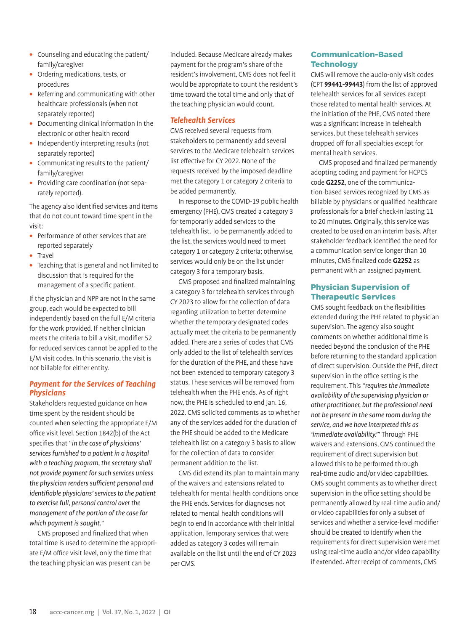- **•** Counseling and educating the patient/ family/caregiver
- **•** Ordering medications, tests, or procedures
- **•** Referring and communicating with other healthcare professionals (when not separately reported)
- **•** Documenting clinical information in the electronic or other health record
- **•** Independently interpreting results (not separately reported)
- **•** Communicating results to the patient/ family/caregiver
- **•** Providing care coordination (not separately reported).

The agency also identified services and items that do not count toward time spent in the visit:

- **•** Performance of other services that are reported separately
- **•** Travel
- **•** Teaching that is general and not limited to discussion that is required for the management of a specific patient.

If the physician and NPP are not in the same group, each would be expected to bill independently based on the full E/M criteria for the work provided. If neither clinician meets the criteria to bill a visit, modifier 52 for reduced services cannot be applied to the E/M visit codes. In this scenario, the visit is not billable for either entity.

### *Payment for the Services of Teaching Physicians*

Stakeholders requested guidance on how time spent by the resident should be counted when selecting the appropriate E/M office visit level. Section 1842(b) of the Act specifies that "*in the case of physicians' services furnished to a patient in a hospital with a teaching program, the secretary shall not provide payment for such services unless the physician renders sufficient personal and identifiable physicians' services to the patient to exercise full, personal control over the management of the portion of the case for which payment is sought.*"

CMS proposed and finalized that when total time is used to determine the appropriate E/M office visit level, only the time that the teaching physician was present can be

included. Because Medicare already makes payment for the program's share of the resident's involvement, CMS does not feel it would be appropriate to count the resident's time toward the total time and only that of the teaching physician would count.

## *Telehealth Services*

CMS received several requests from stakeholders to permanently add several services to the Medicare telehealth services list effective for CY 2022. None of the requests received by the imposed deadline met the category 1 or category 2 criteria to be added permanently.

In response to the COVID-19 public health emergency (PHE), CMS created a category 3 for temporarily added services to the telehealth list. To be permanently added to the list, the services would need to meet category 1 or category 2 criteria; otherwise, services would only be on the list under category 3 for a temporary basis.

CMS proposed and finalized maintaining a category 3 for telehealth services through CY 2023 to allow for the collection of data regarding utilization to better determine whether the temporary designated codes actually meet the criteria to be permanently added. There are a series of codes that CMS only added to the list of telehealth services for the duration of the PHE, and these have not been extended to temporary category 3 status. These services will be removed from telehealth when the PHE ends. As of right now, the PHE is scheduled to end Jan. 16, 2022. CMS solicited comments as to whether any of the services added for the duration of the PHE should be added to the Medicare telehealth list on a category 3 basis to allow for the collection of data to consider permanent addition to the list.

CMS did extend its plan to maintain many of the waivers and extensions related to telehealth for mental health conditions once the PHE ends. Services for diagnoses not related to mental health conditions will begin to end in accordance with their initial application. Temporary services that were added as category 3 codes will remain available on the list until the end of CY 2023 per CMS.

# Communication-Based **Technology**

CMS will remove the audio-only visit codes (CPT **99441-99443**) from the list of approved telehealth services for all services except those related to mental health services. At the initiation of the PHE, CMS noted there was a significant increase in telehealth services, but these telehealth services dropped off for all specialties except for mental health services.

CMS proposed and finalized permanently adopting coding and payment for HCPCS code **G2252**, one of the communication-based services recognized by CMS as billable by physicians or qualified healthcare professionals for a brief check-in lasting 11 to 20 minutes. Originally, this service was created to be used on an interim basis. After stakeholder feedback identified the need for a communication service longer than 10 minutes, CMS finalized code **G2252** as permanent with an assigned payment.

## Physician Supervision of Therapeutic Services

CMS sought feedback on the flexibilities extended during the PHE related to physician supervision. The agency also sought comments on whether additional time is needed beyond the conclusion of the PHE before returning to the standard application of direct supervision. Outside the PHE, direct supervision in the office setting is the requirement. This"*requires the immediate availability of the supervising physician or other practitioner, but the professional need not be present in the same room during the service, and we have interpreted this as 'immediate availability.'*" Through PHE waivers and extensions, CMS continued the requirement of direct supervision but allowed this to be performed through real-time audio and/or video capabilities. CMS sought comments as to whether direct supervision in the office setting should be permanently allowed by real-time audio and/ or video capabilities for only a subset of services and whether a service-level modifier should be created to identify when the requirements for direct supervision were met using real-time audio and/or video capability if extended. After receipt of comments, CMS